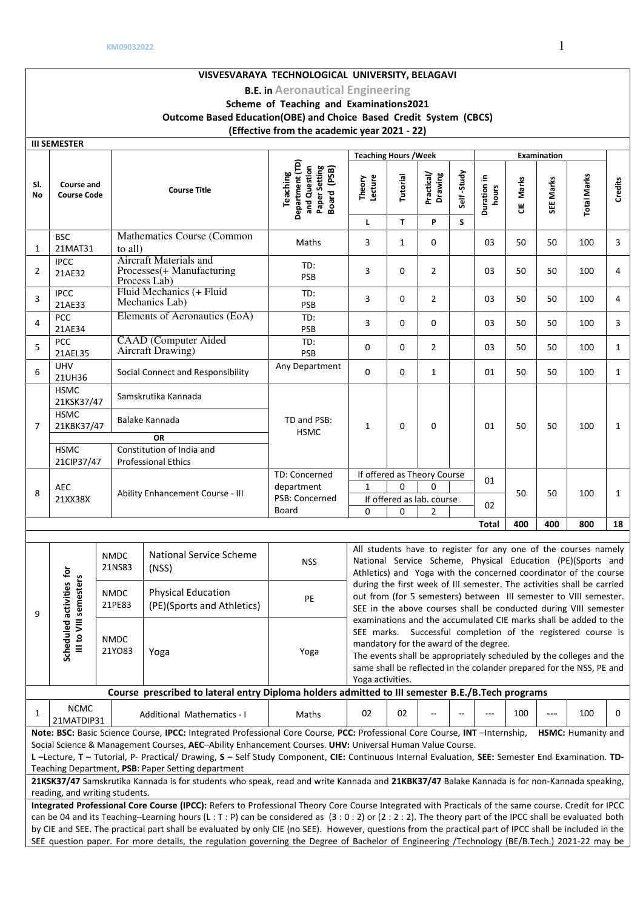#### **KM09032022** 1 **VISVESVARAYA TECHNOLOGICAL UNIVERSITY, BELAGAVI B.E. in Aeronautical Engineering Scheme of Teaching and Examinations2021 Outcome Based Education(OBE) and Choice Based Credit System (CBCS) (Effective from the academic year 2021 - 22) III SEMESTER Teaching Hours /Week**  Examination **Department (TD)**  Department (TD) **and Question Paper Setting**  and Question Paper Setting **Board (PSB) Teaching Self -Study Drawing**  Self-Study **hours**  Theory<br>Lecture<br>Tutorial **Practical/ Duration in Total Marks Total Marks CIE Marks SEE Marks Credits Sl. Course and Course Code Course Title No L T P S**  Mathematics Course (Common **BSC**  $\frac{1}{2}$  Maths  $\left[\begin{array}{c|c} 3 & 1 & 0 \\ 0 & 03 & 50 \end{array}\right]$  100 3 21MAT31 1 Aircraft Materials and IPCC TD: 2 Processes(+ Manufacturing PSB 3 0 2 03 <sup>50</sup> <sup>50</sup> <sup>100</sup> <sup>4</sup> 21AE32 Process Lab) Fluid Mechanics (+ Fluid 3 IPCC TD: PSB 3 0 2 03 <sup>50</sup> <sup>50</sup> <sup>100</sup> <sup>4</sup> Mechanics Lab) 21AE33 Elements of Aeronautics (EoA) TD: <sup>4</sup>PCC PSB 3 0 0 03 <sup>50</sup> <sup>50</sup> <sup>100</sup> <sup>3</sup> 21AE34 CAAD (Computer Aided  $5$  PCC TD: PSB 0 0 2 03 <sup>50</sup> <sup>50</sup> <sup>100</sup> <sup>1</sup> Aircraft Drawing) 21AEL35  $6$  UHV<br>21UH36 21UH36 Social Connect and Responsibility Any Department 0 0 1 01 <sup>50</sup> <sup>50</sup> <sup>100</sup> <sup>1</sup> HSMC 21KSK37/47 Samskrutika Kannada HSMC TD and PSB: 21KBK37/47 Balake Kannada  $HSMC$  1 0 0 0 0 0 50 50 100 1 7 **OR HSMC** Constitution of India and 21CIP37/47 Professional Ethics TD: Concerned If offered as Theory Course  $\begin{array}{|c|c|c|c|}\n\hline\n1 & 0 & 0 & \end{array}$  01  $\begin{array}{|c|c|}\n 8 & \text{AEC} \\
\hline\n 21XX38X\n \end{array}$ department  $\overline{0}$ Ability Enhancement Course - III 50 50 100 1 PSB: Concerned If offered as lab. course  $\begin{array}{|c|c|c|c|c|c|} \hline 0 & 0 & 2 & \hline \end{array}$  02 Board **Total 400 400 800 18** All students have to register for any one of the courses namely NMDC National Service Scheme National Service Scheme, Physical Education (PE)(Sports and National Service Seneme NSS 21NS83 **Scheduled activities for**   $\tilde{\mathbf{e}}$ Athletics) and Yoga with the concerned coordinator of the course III to VIII semesters **III to VIII semesters**  Scheduled activities during the first week of III semester. The activities shall be carried Physical Education NMDC out from (for 5 semesters) between III semester to VIII semester. (PE)(Sports and Athletics) PE 21PE83 SEE in the above courses shall be conducted during VIII semester 9 examinations and the accumulated CIE marks shall be added to the SEE marks. Successful completion of the registered course is NMDC mandatory for the award of the degree. 21YO83 Yoga Yoga The events shall be appropriately scheduled by the colleges and the same shall be reflected in the colander prepared for the NSS, PE and Yoga activities. **Course prescribed to lateral entry Diploma holders admitted to III semester B.E./B.Tech programs**  $1 \left| \begin{array}{c} NCMC \\ 21MATDIP31 \end{array} \right|$ Additional Mathematics - I Maths 02 02 -- - - 100 --- 100 0 **Note: BSC:** Basic Science Course, **IPCC:** Integrated Professional Core Course, **PCC:** Professional Core Course, **INT** –Internship, **HSMC:** Humanity and Social Science & Management Courses, **AEC**–Ability Enhancement Courses. **UHV:** Universal Human Value Course. **L –**Lecture, **T –** Tutorial, P- Practical/ Drawing, **S –** Self Study Component, **CIE:** Continuous Internal Evaluation, **SEE:** Semester End Examination. **TD-**Teaching Department, **PSB**: Paper Setting department 21KSK37/47 Samskrutika Kannada is for students who speak, read and write Kannada and 21KBK37/47 Balake Kannada is for non-Kannada speaking, reading, and writing students. **Integrated Professional Core Course (IPCC):** Refers to Professional Theory Core Course Integrated with Practicals of the same course. Credit for IPCC can be 04 and its Teaching–Learning hours (L : T : P) can be considered as  $(3:0:2)$  or  $(2:2:2)$ . The theory part of the IPCC shall be evaluated both

by CIE and SEE. The practical part shall be evaluated by only CIE (no SEE). However, questions from the practical part of IPCC shall be included in the SEE question paper. For more details, the regulation governing the Degree of Bachelor of Engineering /Technology (BE/B.Tech.) 2021-22 may be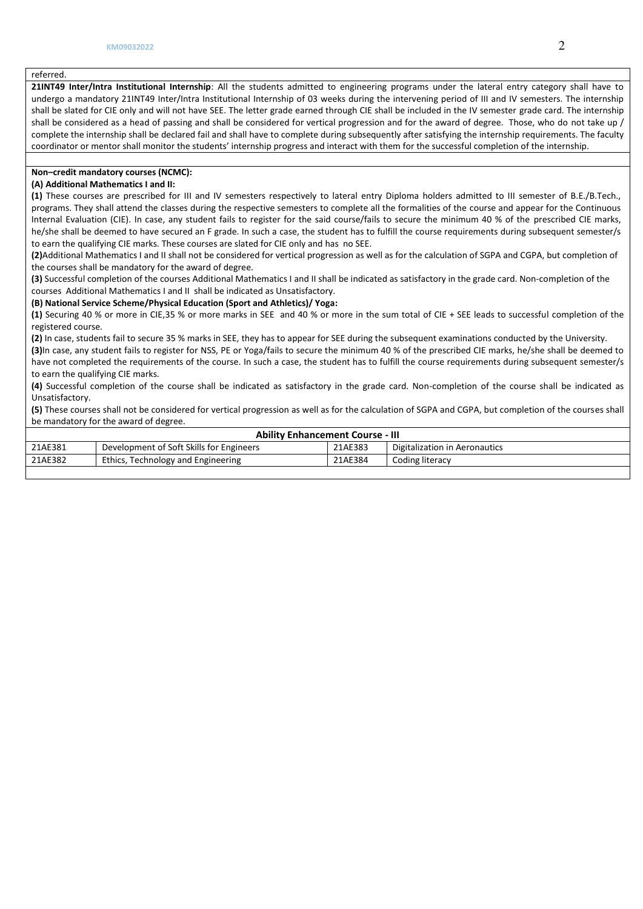### referred.

**21INT49 Inter/Intra Institutional Internship**: All the students admitted to engineering programs under the lateral entry category shall have to undergo a mandatory 21INT49 Inter/Intra Institutional Internship of 03 weeks during the intervening period of III and IV semesters. The internship shall be slated for CIE only and will not have SEE. The letter grade earned through CIE shall be included in the IV semester grade card. The internship shall be considered as a head of passing and shall be considered for vertical progression and for the award of degree. Those, who do not take up / complete the internship shall be declared fail and shall have to complete during subsequently after satisfying the internship requirements. The faculty coordinator or mentor shall monitor the students' internship progress and interact with them for the successful completion of the internship.

## **Non–credit mandatory courses (NCMC):**

## **(A) Additional Mathematics I and II:**

**(1)** These courses are prescribed for III and IV semesters respectively to lateral entry Diploma holders admitted to III semester of B.E./B.Tech., programs. They shall attend the classes during the respective semesters to complete all the formalities of the course and appear for the Continuous Internal Evaluation (CIE). In case, any student fails to register for the said course/fails to secure the minimum 40 % of the prescribed CIE marks, he/she shall be deemed to have secured an F grade. In such a case, the student has to fulfill the course requirements during subsequent semester/s to earn the qualifying CIE marks. These courses are slated for CIE only and has no SEE.

**(2)**Additional Mathematics I and II shall not be considered for vertical progression as well as for the calculation of SGPA and CGPA, but completion of the courses shall be mandatory for the award of degree.

**(3)** Successful completion of the courses Additional Mathematics I and II shall be indicated as satisfactory in the grade card. Non-completion of the courses Additional Mathematics I and II shall be indicated as Unsatisfactory.

#### **(B) National Service Scheme/Physical Education (Sport and Athletics)/ Yoga:**

**(1)** Securing 40 % or more in CIE,35 % or more marks in SEE and 40 % or more in the sum total of CIE + SEE leads to successful completion of the registered course.

**(2)** In case, students fail to secure 35 % marks in SEE, they has to appear for SEE during the subsequent examinations conducted by the University. **(3)**In case, any student fails to register for NSS, PE or Yoga/fails to secure the minimum 40 % of the prescribed CIE marks, he/she shall be deemed to have not completed the requirements of the course. In such a case, the student has to fulfill the course requirements during subsequent semester/s to earn the qualifying CIE marks.

**(4)** Successful completion of the course shall be indicated as satisfactory in the grade card. Non-completion of the course shall be indicated as Unsatisfactory.

**(5)** These courses shall not be considered for vertical progression as well as for the calculation of SGPA and CGPA, but completion of the courses shall be mandatory for the award of degree.

| <b>Ability Enhancement Course - III</b> |                                          |         |                               |  |  |  |  |  |
|-----------------------------------------|------------------------------------------|---------|-------------------------------|--|--|--|--|--|
| 21AE381                                 | Development of Soft Skills for Engineers | 21AE383 | Digitalization in Aeronautics |  |  |  |  |  |
| 21AE382                                 | Ethics, Technology and Engineering       | 21AE384 | Coding literacy               |  |  |  |  |  |
|                                         |                                          |         |                               |  |  |  |  |  |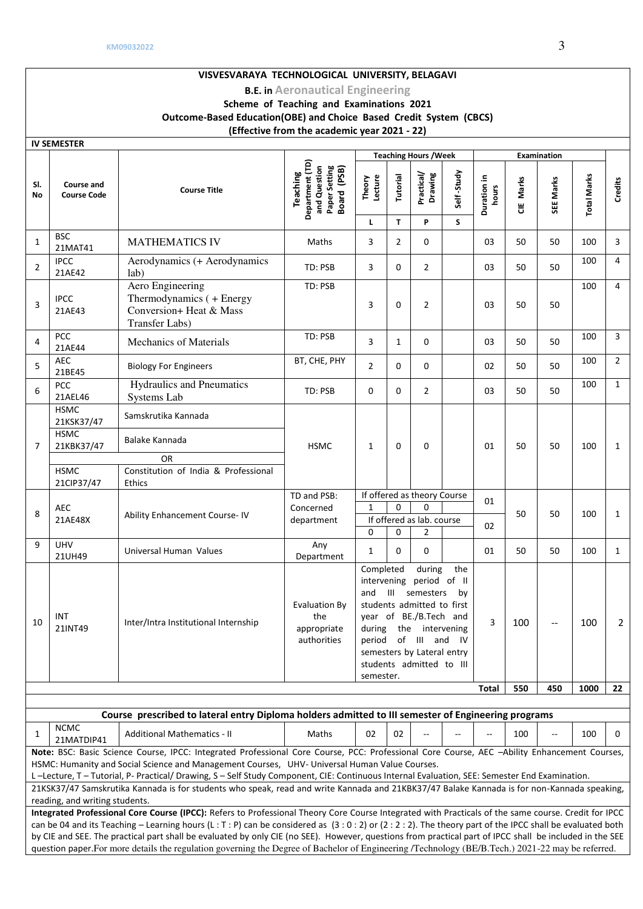#### **VISVESVARAYA TECHNOLOGICAL UNIVERSITY, BELAGAVI B.E. in Aeronautical Engineering Scheme of Teaching and Examinations 2021 Outcome-Based Education(OBE) and Choice Based Credit System (CBCS) (Effective from the academic year 2021 - 22) IV SEMESTER Teaching Hours / Week | Examination Department (TD)**  Department (TD) **and Question Paper Setting**  and Question Paper Setting **Board (PSB) Practical/ Drawing Self -Study Teaching**  Self-Study **hours Theory Lecture Duration in Total Marks Tutorial Total Marks CIE Marks SEE Marks Credits Sl. Course and Course Code Course Title No L T P S**   $1 \begin{array}{|c|}$  BSC<br>21MAT41 21MAT41 MATHEMATICS IV Maths 3 2 0 03 <sup>50</sup> <sup>50</sup> <sup>100</sup> <sup>3</sup>  $2$  IPCC Aerodynamics (+ Aerodynamics  $100 \mid 4$ lab) TD: PSB 3 0 2 03 <sup>50</sup> <sup>50</sup> 21AE42 TD: PSB  $100 \mid 4$ Aero Engineering  $3$  IPCC Thermodynamics ( + Energy 3 0 2 03 50 50 21AE43 Conversion+ Heat & Mass Transfer Labs)  $4 \overline{\smash)214E44}$ PCC Mechanics of Materials TD: PSB 3 1 0 03 50 50  $100$  3 3  $\frac{100}{3}$  $5$   $\begin{array}{|c|c|}\n\hline\n\end{array}$   $\begin{array}{|c|c|}\n\hline\n21BE45\n\end{array}$ AEC Biology For Engineers BT, CHE, PHY 2 0 0 0 02 50 50  $100$  2  $6$  PCC Hydraulics and Pneumatics 100 1 Systems Lab TD: PSB 0 0 2 03 <sup>50</sup> <sup>50</sup> 21AEL46 HSMC 21KSK37/47 Samskrutika Kannada HSMC 21KBK37/47 Balake Kannada 7 HSMC | 1 | 0 | 0 | 01 | 50 | 50 | 100 | 1 OR **HSMC** Constitution of India & Professional 21CIP37/47 **Ethics** If offered as theory Course  $\begin{array}{|c|c|c|c|c|} \hline 1 & 0 & 0 & \hline \end{array}$  01 TD and PSB:  $0$  $8$   $\begin{array}{|c|c|}\n 8 & 214E48X\n\end{array}$ Concerned Ability Enhancement Course- IV 50 50 100 1 department If offered as lab. course  $\begin{bmatrix} 0 & 0 & 2 \end{bmatrix}$  02 9 UHV UHV Any<br>21UH49 Universal Human Values Department Department 1 0 0 01 <sup>50</sup> <sup>50</sup> <sup>100</sup> <sup>1</sup> Completed during the intervening period of II and III semesters by Evaluation By students admitted to first  $10$   $\begin{array}{|l} \hline \text{INT} \\ \hline \text{21INT}49 \end{array}$ the year of BE./B.Tech and  $3 \mid 100 \mid -1100 \mid 2$ Inter/Intra Institutional Internship appropriate during the intervening authorities period of III and IV semesters by Lateral entry students admitted to III semester. **Total 550 450 1000 22 Course prescribed to lateral entry Diploma holders admitted to III semester of Engineering programs** 1 NCMC<br>21MATDIP41 NCMC<br>21MATDIP41 | Additional Mathematics - II | Maths | 02 | 02 | -- | -- | -- | 100 | -- | 100 | 0

**Note:** BSC: Basic Science Course, IPCC: Integrated Professional Core Course, PCC: Professional Core Course, AEC –Ability Enhancement Courses, HSMC: Humanity and Social Science and Management Courses, UHV- Universal Human Value Courses.

L –Lecture, T – Tutorial, P- Practical/ Drawing, S – Self Study Component, CIE: Continuous Internal Evaluation, SEE: Semester End Examination. 21KSK37/47 Samskrutika Kannada is for students who speak, read and write Kannada and 21KBK37/47 Balake Kannada is for non-Kannada speaking, reading, and writing students.

**Integrated Professional Core Course (IPCC):** Refers to Professional Theory Core Course Integrated with Practicals of the same course. Credit for IPCC can be 04 and its Teaching – Learning hours (L: T: P) can be considered as  $(3:0:2)$  or  $(2:2:2)$ . The theory part of the IPCC shall be evaluated both by CIE and SEE. The practical part shall be evaluated by only CIE (no SEE). However, questions from practical part of IPCC shall be included in the SEE question paper.For more details the regulation governing the Degree of Bachelor of Engineering /Technology (BE/B.Tech.) 2021-22 may be referred.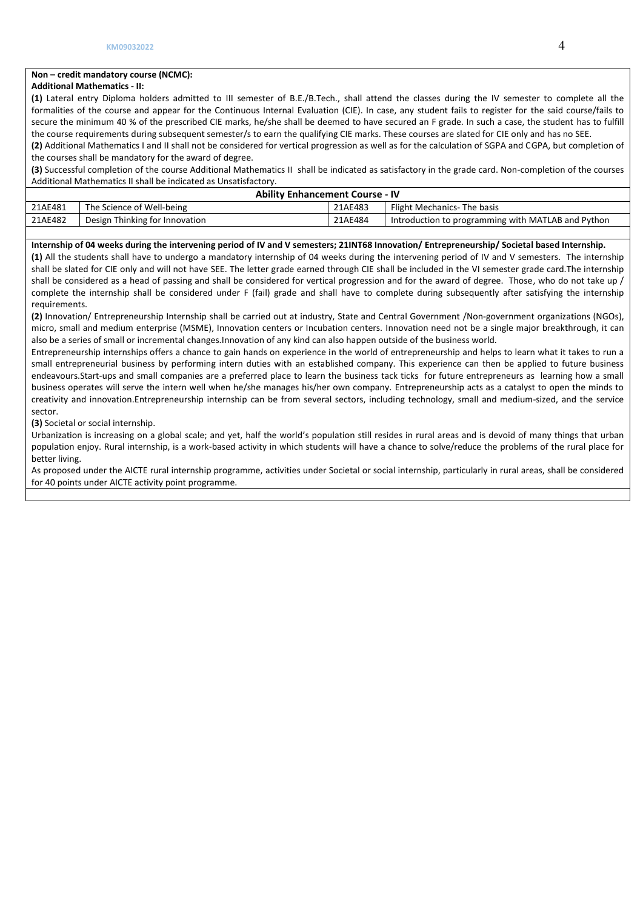## **Non – credit mandatory course (NCMC):**

### **Additional Mathematics - II:**

**(1)** Lateral entry Diploma holders admitted to III semester of B.E./B.Tech., shall attend the classes during the IV semester to complete all the formalities of the course and appear for the Continuous Internal Evaluation (CIE). In case, any student fails to register for the said course/fails to secure the minimum 40 % of the prescribed CIE marks, he/she shall be deemed to have secured an F grade. In such a case, the student has to fulfill the course requirements during subsequent semester/s to earn the qualifying CIE marks. These courses are slated for CIE only and has no SEE.

**(2)** Additional Mathematics I and II shall not be considered for vertical progression as well as for the calculation of SGPA and CGPA, but completion of the courses shall be mandatory for the award of degree.

**(3)** Successful completion of the course Additional Mathematics II shall be indicated as satisfactory in the grade card. Non-completion of the courses Additional Mathematics II shall be indicated as Unsatisfactory.

| <b>Ability Enhancement Course - IV</b> |                                |         |                                                    |  |  |  |  |  |
|----------------------------------------|--------------------------------|---------|----------------------------------------------------|--|--|--|--|--|
| 21AE481                                | The Science of Well-being      | 21AE483 | Flight Mechanics- The basis                        |  |  |  |  |  |
| 21AE482                                | Design Thinking for Innovation | 21AE484 | Introduction to programming with MATLAB and Python |  |  |  |  |  |

## **Internship of 04 weeks during the intervening period of IV and V semesters; 21INT68 Innovation/ Entrepreneurship/ Societal based Internship.**

**(1)** All the students shall have to undergo a mandatory internship of 04 weeks during the intervening period of IV and V semesters. The internship shall be slated for CIE only and will not have SEE. The letter grade earned through CIE shall be included in the VI semester grade card.The internship shall be considered as a head of passing and shall be considered for vertical progression and for the award of degree. Those, who do not take up / complete the internship shall be considered under F (fail) grade and shall have to complete during subsequently after satisfying the internship requirements.

**(2)** Innovation/ Entrepreneurship Internship shall be carried out at industry, State and Central Government /Non-government organizations (NGOs), micro, small and medium enterprise (MSME), Innovation centers or Incubation centers. Innovation need not be a single major breakthrough, it can also be a series of small or incremental changes.Innovation of any kind can also happen outside of the business world.

Entrepreneurship internships offers a chance to gain hands on experience in the world of entrepreneurship and helps to learn what it takes to run a small entrepreneurial business by performing intern duties with an established company. This experience can then be applied to future business endeavours.Start-ups and small companies are a preferred place to learn the business tack ticks for future entrepreneurs as learning how a small business operates will serve the intern well when he/she manages his/her own company. Entrepreneurship acts as a catalyst to open the minds to creativity and innovation.Entrepreneurship internship can be from several sectors, including technology, small and medium-sized, and the service sector.

**(3)** Societal or social internship.

Urbanization is increasing on a global scale; and yet, half the world's population still resides in rural areas and is devoid of many things that urban population enjoy. Rural internship, is a work-based activity in which students will have a chance to solve/reduce the problems of the rural place for better living.

As proposed under the AICTE rural internship programme, activities under Societal or social internship, particularly in rural areas, shall be considered for 40 points under AICTE activity point programme.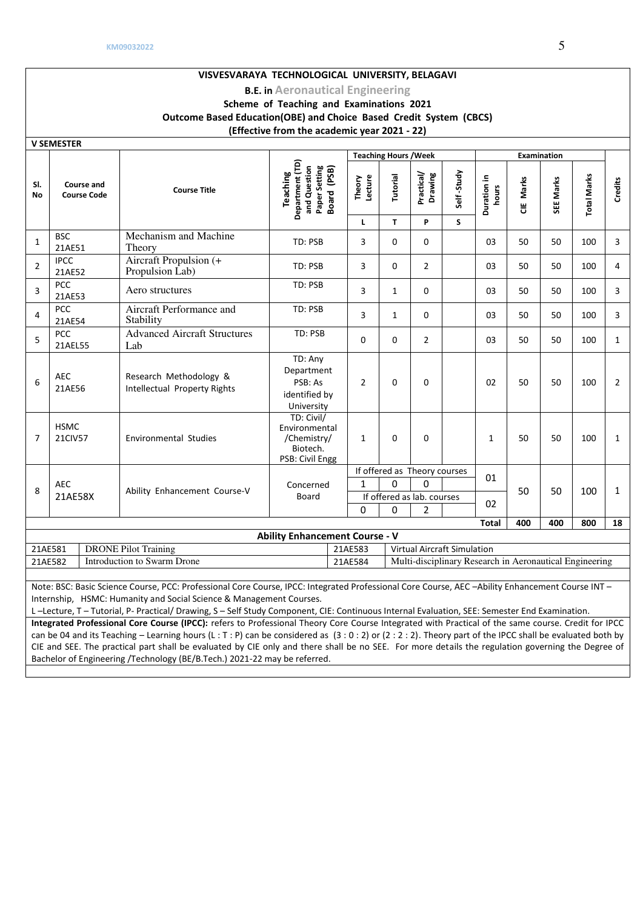#### **VISVESVARAYA TECHNOLOGICAL UNIVERSITY, BELAGAVI B.E. in Aeronautical Engineering Scheme of Teaching and Examinations 2021 Outcome Based Education(OBE) and Choice Based Credit System (CBCS) (Effective from the academic year 2021 - 22) V SEMESTER Teaching Hours / Week | Examination Department (TD) Board (PSB)** Department (TD) **and Question Paper Setting**  and Question **Teaching Practical/ Drawing**  Self-Study **Self -Study hours**  Theory<br>Lecture<br>Tutorial **Duration in Total Marks Total Marks CIE Marks SEE Marks Credits Sl. Course and Course Code Course Title No L T P S**   $1$  BSC Mechanism and Machine Theory Theory 100 100  $\left| 3 \right| 3 \left| 0 \right| 0 \left| 0 \right| 03 \left| 50 \right| 50 \left| 100 \right| 3$ 21AE51  $2$  IPCC Aircraft Propulsion (+ Propulsion Lab) TD: PSB 3 0 2 03 <sup>50</sup> <sup>50</sup> <sup>100</sup> <sup>4</sup> 21AE52  $\begin{array}{c|c} 3 & PCC \\ 21AE53 \end{array}$ PCC Aero structures TD: PSB 3 1 0 03 50 50 100 3 Aircraft Performance and  $4$  PCC TD: PSB | 3 | 1 | 0 | 03 | 50 | 50 | 100 | 3 **Stability** 21AE54 Advanced Aircraft Structures TD: PSB  $5$  PCC 0 0 2 03 50 50 100 1 21AEL55 Lab TD: Any Department  $6$  AEC Research Methodology & PSB: As 2 0 0 0 02 50 50 100 2 21AE56 Intellectual Property Rights identified by University TD: Civil/ HSMC Environmental 7 21CIV57 | Environmental Studies /Chemistry/ 1 0 0 1 1 50 50 100 1 Biotech. PSB: Civil Engg If offered as Theory courses 01 AEC AEC <br>21AE58X Ability Enhancement Course-V Concerned 1 0 0 8 50 50 100 1 If offered as lab. courses Board <sup>02</sup> 0 0 2  **Total 400 400 800 18 Ability Enhancement Course - V**  21AE581 DRONE Pilot Training 21AE583 Virtual Aircraft Simulation

21AE582 Introduction to Swarm Drone 21AE584 Multi-disciplinary Research in Aeronautical Engineering

Note: BSC: Basic Science Course, PCC: Professional Core Course, IPCC: Integrated Professional Core Course, AEC –Ability Enhancement Course INT – Internship, HSMC: Humanity and Social Science & Management Courses.

L –Lecture, T – Tutorial, P- Practical/ Drawing, S – Self Study Component, CIE: Continuous Internal Evaluation, SEE: Semester End Examination. **Integrated Professional Core Course (IPCC):** refers to Professional Theory Core Course Integrated with Practical of the same course. Credit for IPCC can be 04 and its Teaching – Learning hours (L : T : P) can be considered as (3 : 0 : 2) or (2 : 2 : 2). Theory part of the IPCC shall be evaluated both by CIE and SEE. The practical part shall be evaluated by CIE only and there shall be no SEE. For more details the regulation governing the Degree of Bachelor of Engineering /Technology (BE/B.Tech.) 2021-22 may be referred.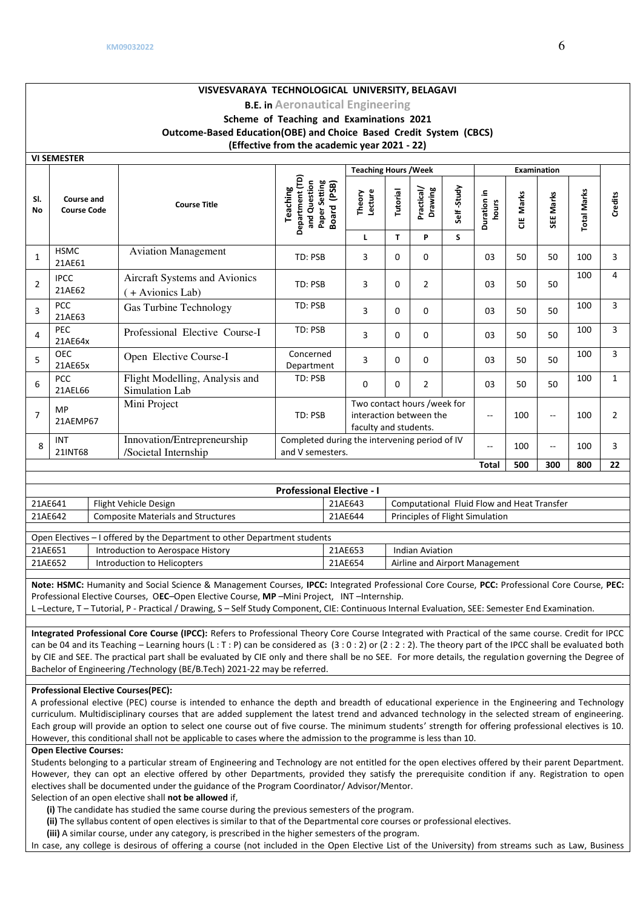# **VISVESVARAYA TECHNOLOGICAL UNIVERSITY, BELAGAVI**

# **B.E. in Aeronautical Engineering Scheme of Teaching and Examinations 2021 Outcome-Based Education(OBE) and Choice Based Credit System (CBCS) (Effective from the academic year 2021 - 22)**

|                | <b>VI SEMESTER</b>                                                                                 |                              |                                                                           |                                                                             |              |                                                                                 |          |                        |            |                      |           |                                               |                    |                |
|----------------|----------------------------------------------------------------------------------------------------|------------------------------|---------------------------------------------------------------------------|-----------------------------------------------------------------------------|--------------|---------------------------------------------------------------------------------|----------|------------------------|------------|----------------------|-----------|-----------------------------------------------|--------------------|----------------|
|                |                                                                                                    | <b>Teaching Hours / Week</b> |                                                                           |                                                                             |              |                                                                                 |          |                        |            |                      |           |                                               |                    |                |
| SI.<br>No      | Course and<br><b>Course Code</b>                                                                   |                              | <b>Course Title</b>                                                       | Department (TD)<br>and Question<br>Paper Setting<br>Board (PSB)<br>Teaching |              | Lecture<br>Theory                                                               | Tutorial | Practical/<br>Drawing  | Self-Study | Duration in<br>hours | CIE Marks | SEE Marks                                     | <b>Total Marks</b> | Credits        |
|                |                                                                                                    |                              |                                                                           |                                                                             |              | L                                                                               | T.       | P                      | S          |                      |           |                                               |                    |                |
| $\mathbf{1}$   | <b>HSMC</b><br>21AE61                                                                              |                              | <b>Aviation Management</b>                                                | TD: PSB                                                                     |              | 3                                                                               | 0        | $\Omega$               |            | 03                   | 50        | 50                                            | 100                | 3              |
| 2              | <b>IPCC</b><br>21AE62                                                                              |                              | Aircraft Systems and Avionics<br>+ Avionics Lab)                          | TD: PSB                                                                     |              | 3                                                                               | 0        | $\overline{2}$         |            | 03                   | 50        | 50                                            | 100                | 4              |
| 3              | <b>PCC</b><br>21AE63                                                                               |                              | <b>Gas Turbine Technology</b>                                             | TD: PSB                                                                     |              | 3                                                                               | 0        | $\Omega$               |            | 03                   | 50        | 50                                            | 100                | 3              |
| 4              | PEC<br>21AE64x                                                                                     |                              | Professional Elective Course-I                                            | TD: PSB                                                                     |              | 3                                                                               | $\Omega$ | $\Omega$               |            | 03                   | 50        | 50                                            | 100                | 3              |
| 5              | <b>OEC</b><br>21AE65x                                                                              |                              | Open Elective Course-I                                                    | Concerned<br>Department                                                     |              | 3                                                                               | $\Omega$ | $\Omega$               |            | 03                   | 50        | 50                                            | 100                | 3              |
| 6              | PCC<br>21AEL66                                                                                     |                              | Flight Modelling, Analysis and<br>Simulation Lab                          | TD: PSB<br>0                                                                |              |                                                                                 | 0        | $\overline{2}$         |            | 03                   | 50        | 50                                            | 100                | $\mathbf{1}$   |
| $\overline{7}$ | MP<br>21AEMP67                                                                                     |                              | Mini Project                                                              | TD: PSB                                                                     |              | Two contact hours /week for<br>interaction between the<br>faculty and students. |          |                        |            | $\mathbf{u}$         | 100       | $\overline{a}$                                | 100                | $\overline{2}$ |
| 8              | INT<br>21INT68                                                                                     |                              | Innovation/Entrepreneurship<br>/Societal Internship                       | and V semesters.                                                            |              | Completed during the intervening period of IV                                   |          |                        |            |                      | 100       | $\mathord{\hspace{1pt}\text{--}\hspace{1pt}}$ | 100                | 3              |
|                |                                                                                                    |                              |                                                                           |                                                                             | <b>Total</b> |                                                                                 |          |                        |            |                      | 500       | 300                                           | 800                | 22             |
|                |                                                                                                    |                              |                                                                           |                                                                             |              |                                                                                 |          |                        |            |                      |           |                                               |                    |                |
|                |                                                                                                    |                              |                                                                           | <b>Professional Elective - I</b>                                            |              |                                                                                 |          |                        |            |                      |           |                                               |                    |                |
|                | Computational Fluid Flow and Heat Transfer<br>21AE641<br>Flight Vehicle Design<br>21AE643          |                              |                                                                           |                                                                             |              |                                                                                 |          |                        |            |                      |           |                                               |                    |                |
|                | <b>Composite Materials and Structures</b><br>21AE642<br>21AE644<br>Principles of Flight Simulation |                              |                                                                           |                                                                             |              |                                                                                 |          |                        |            |                      |           |                                               |                    |                |
|                |                                                                                                    |                              | Open Electives - I offered by the Department to other Department students |                                                                             |              |                                                                                 |          |                        |            |                      |           |                                               |                    |                |
| 21AE651        |                                                                                                    |                              | Introduction to Aerospace History                                         |                                                                             | 21AE653      |                                                                                 |          | <b>Indian Aviation</b> |            |                      |           |                                               |                    |                |
|                | 21AE652<br>Introduction to Helicopters<br>21AE654                                                  |                              |                                                                           |                                                                             |              | Airline and Airport Management                                                  |          |                        |            |                      |           |                                               |                    |                |

**Note: HSMC:** Humanity and Social Science & Management Courses, **IPCC:** Integrated Professional Core Course, **PCC:** Professional Core Course, **PEC:** Professional Elective Courses, O**EC**–Open Elective Course, **MP** –Mini Project, INT –Internship.

L –Lecture, T – Tutorial, P - Practical / Drawing, S – Self Study Component, CIE: Continuous Internal Evaluation, SEE: Semester End Examination.

**Integrated Professional Core Course (IPCC):** Refers to Professional Theory Core Course Integrated with Practical of the same course. Credit for IPCC can be 04 and its Teaching – Learning hours (L: T: P) can be considered as  $(3:0:2)$  or  $(2:2:2)$ . The theory part of the IPCC shall be evaluated both by CIE and SEE. The practical part shall be evaluated by CIE only and there shall be no SEE. For more details, the regulation governing the Degree of Bachelor of Engineering /Technology (BE/B.Tech) 2021-22 may be referred.

## **Professional Elective Courses(PEC):**

A professional elective (PEC) course is intended to enhance the depth and breadth of educational experience in the Engineering and Technology curriculum. Multidisciplinary courses that are added supplement the latest trend and advanced technology in the selected stream of engineering. Each group will provide an option to select one course out of five course. The minimum students' strength for offering professional electives is 10. However, this conditional shall not be applicable to cases where the admission to the programme is less than 10.

### **Open Elective Courses:**

Students belonging to a particular stream of Engineering and Technology are not entitled for the open electives offered by their parent Department. However, they can opt an elective offered by other Departments, provided they satisfy the prerequisite condition if any. Registration to open electives shall be documented under the guidance of the Program Coordinator/ Advisor/Mentor.

# Selection of an open elective shall **not be allowed** if,

**(i)** The candidate has studied the same course during the previous semesters of the program.

**(ii)** The syllabus content of open electives is similar to that of the Departmental core courses or professional electives.

**(iii)** A similar course, under any category, is prescribed in the higher semesters of the program.

In case, any college is desirous of offering a course (not included in the Open Elective List of the University) from streams such as Law, Business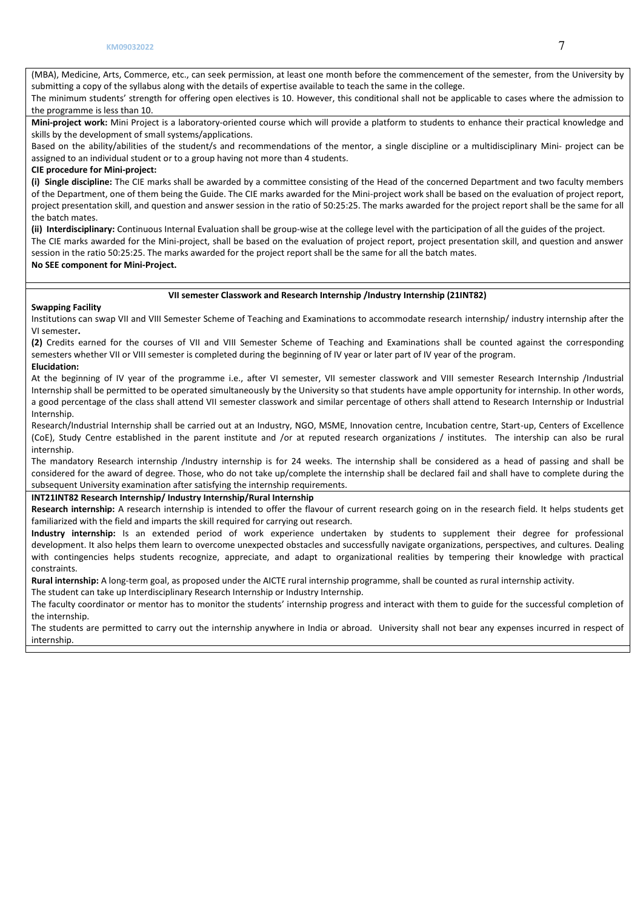(MBA), Medicine, Arts, Commerce, etc., can seek permission, at least one month before the commencement of the semester, from the University by submitting a copy of the syllabus along with the details of expertise available to teach the same in the college.

The minimum students' strength for offering open electives is 10. However, this conditional shall not be applicable to cases where the admission to the programme is less than 10.

**Mini-project work:** Mini Project is a laboratory-oriented course which will provide a platform to students to enhance their practical knowledge and skills by the development of small systems/applications.

Based on the ability/abilities of the student/s and recommendations of the mentor, a single discipline or a multidisciplinary Mini- project can be assigned to an individual student or to a group having not more than 4 students.

## **CIE procedure for Mini-project:**

**(i) Single discipline:** The CIE marks shall be awarded by a committee consisting of the Head of the concerned Department and two faculty members of the Department, one of them being the Guide. The CIE marks awarded for the Mini-project work shall be based on the evaluation of project report, project presentation skill, and question and answer session in the ratio of 50:25:25. The marks awarded for the project report shall be the same for all the batch mates.

**(ii) Interdisciplinary:** Continuous Internal Evaluation shall be group-wise at the college level with the participation of all the guides of the project.

The CIE marks awarded for the Mini-project, shall be based on the evaluation of project report, project presentation skill, and question and answer session in the ratio 50:25:25. The marks awarded for the project report shall be the same for all the batch mates.

**No SEE component for Mini-Project.** 

## **VII semester Classwork and Research Internship /Industry Internship (21INT82)**

## **Swapping Facility**

Institutions can swap VII and VIII Semester Scheme of Teaching and Examinations to accommodate research internship/ industry internship after the VI semester**.** 

**(2)** Credits earned for the courses of VII and VIII Semester Scheme of Teaching and Examinations shall be counted against the corresponding semesters whether VII or VIII semester is completed during the beginning of IV year or later part of IV year of the program.

## **Elucidation:**

At the beginning of IV year of the programme i.e., after VI semester, VII semester classwork and VIII semester Research Internship /Industrial Internship shall be permitted to be operated simultaneously by the University so that students have ample opportunity for internship. In other words, a good percentage of the class shall attend VII semester classwork and similar percentage of others shall attend to Research Internship or Industrial Internship.

Research/Industrial Internship shall be carried out at an Industry, NGO, MSME, Innovation centre, Incubation centre, Start-up, Centers of Excellence (CoE), Study Centre established in the parent institute and /or at reputed research organizations / institutes. The intership can also be rural internship.

The mandatory Research internship /Industry internship is for 24 weeks. The internship shall be considered as a head of passing and shall be considered for the award of degree. Those, who do not take up/complete the internship shall be declared fail and shall have to complete during the subsequent University examination after satisfying the internship requirements.

## **INT21INT82 Research Internship/ Industry Internship/Rural Internship**

**Research internship:** A research internship is intended to offer the flavour of current research going on in the research field. It helps students get familiarized with the field and imparts the skill required for carrying out research.

**Industry internship:** Is an extended period of work experience undertaken by students to supplement their degree for professional development. It also helps them learn to overcome unexpected obstacles and successfully navigate organizations, perspectives, and cultures. Dealing with contingencies helps students recognize, appreciate, and adapt to organizational realities by tempering their knowledge with practical constraints.

**Rural internship:** A long-term goal, as proposed under the AICTE rural internship programme, shall be counted as rural internship activity.

The student can take up Interdisciplinary Research Internship or Industry Internship.

The faculty coordinator or mentor has to monitor the students' internship progress and interact with them to guide for the successful completion of the internship.

The students are permitted to carry out the internship anywhere in India or abroad. University shall not bear any expenses incurred in respect of internship.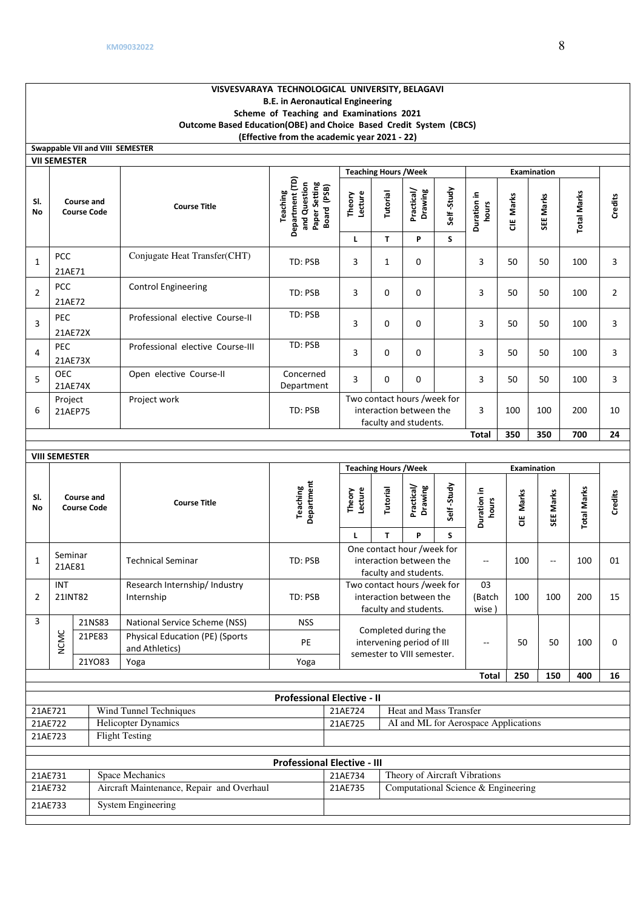21AE733 System Engineering

## **VISVESVARAYA TECHNOLOGICAL UNIVERSITY, BELAGAVI B.E. in Aeronautical Engineering Scheme of Teaching and Examinations 2021 Outcome Based Education(OBE) and Choice Based Credit System (CBCS) (Effective from the academic year 2021 - 22)**

|                  | Swappable VII and VIII SEMESTER  |                                  |                                                                                       |                                                                                 |                              |                       |            |                      |            |           |                    |         |
|------------------|----------------------------------|----------------------------------|---------------------------------------------------------------------------------------|---------------------------------------------------------------------------------|------------------------------|-----------------------|------------|----------------------|------------|-----------|--------------------|---------|
|                  | <b>VII SEMESTER</b>              |                                  |                                                                                       |                                                                                 |                              |                       |            |                      |            |           |                    |         |
|                  |                                  |                                  |                                                                                       |                                                                                 | <b>Teaching Hours / Week</b> |                       |            | <b>Examination</b>   |            |           |                    |         |
| SI.<br><b>No</b> | Course and<br><b>Course Code</b> | <b>Course Title</b>              | Department (TD)<br>and Question<br>Paper Setting<br>(PSB)<br>Teaching<br><b>Board</b> | Lecture<br>Theory                                                               | Tutorial                     | Practical/<br>Drawing | Self-Study | Duration in<br>hours | Marks<br>٣ | SEE Marks | <b>Total Marks</b> | Credits |
|                  |                                  |                                  |                                                                                       | L                                                                               | T.                           | P                     | S.         |                      |            |           |                    |         |
| $\mathbf{1}$     | <b>PCC</b><br>21AE71             | Conjugate Heat Transfer(CHT)     | TD: PSB                                                                               | 3                                                                               | $\mathbf{1}$                 | $\Omega$              |            | 3                    | 50         | 50        | 100                | 3       |
| $\overline{2}$   | <b>PCC</b><br>21AE72             | <b>Control Engineering</b>       | TD: PSB                                                                               | 3                                                                               | $\Omega$                     | $\Omega$              |            | 3                    | 50         | 50        | 100                | 2       |
| 3                | <b>PEC</b><br>21AE72X            | Professional elective Course-II  | TD: PSB                                                                               | 3                                                                               | 0                            | 0                     |            | 3                    | 50         | 50        | 100                | 3       |
| 4                | <b>PEC</b><br>21AE73X            | Professional elective Course-III | TD: PSB                                                                               | 3                                                                               | $\Omega$                     | $\Omega$              |            | 3                    | 50         | 50        | 100                | 3       |
| 5                | <b>OEC</b><br>21AE74X            | Open elective Course-II          | Concerned<br>Department                                                               | 3                                                                               | 0                            | 0                     |            | 3                    | 50         | 50        | 100                | 3       |
| 6                | Project<br>21AEP75               | Project work                     | TD: PSB                                                                               | Two contact hours /week for<br>interaction between the<br>faculty and students. |                              |                       | 3          | 100                  | 100        | 200       | 10                 |         |
|                  |                                  |                                  |                                                                                       |                                                                                 |                              |                       |            | <b>Total</b>         | 350        | 350       | 700                | 24      |
|                  |                                  |                                  |                                                                                       |                                                                                 |                              |                       |            |                      |            |           |                    |         |

|                                                      | <b>VIII SEMESTER</b>                  |                                  |  |                                                           |                                                 |                                     |                                                                                |          |                       |            |                               |           |           |                    |         |
|------------------------------------------------------|---------------------------------------|----------------------------------|--|-----------------------------------------------------------|-------------------------------------------------|-------------------------------------|--------------------------------------------------------------------------------|----------|-----------------------|------------|-------------------------------|-----------|-----------|--------------------|---------|
| <b>Teaching Hours / Week</b>                         |                                       |                                  |  |                                                           |                                                 | <b>Examination</b>                  |                                                                                |          |                       |            |                               |           |           |                    |         |
| SI.<br>No                                            |                                       | Course and<br><b>Course Code</b> |  | <b>Course Title</b>                                       | Department<br>Teaching                          |                                     | Lecture<br>Theory                                                              | Tutorial | Practical/<br>Drawing | Self-Study | Duration in<br>hours          | CIE Marks | SEE Marks | <b>Total Marks</b> | Credits |
|                                                      |                                       |                                  |  |                                                           |                                                 |                                     | L                                                                              | T.       | P                     | S.         |                               |           |           |                    |         |
| $\mathbf{1}$                                         | Seminar<br>21AE81                     |                                  |  | <b>Technical Seminar</b>                                  | TD: PSB                                         |                                     | One contact hour /week for<br>interaction between the<br>faculty and students. |          |                       | --         | 100                           | --        | 100       | 01                 |         |
|                                                      | <b>INT</b>                            |                                  |  | Research Internship/ Industry                             |                                                 |                                     | Two contact hours /week for                                                    |          |                       | 03         |                               |           |           |                    |         |
| 2                                                    | TD: PSB<br>21INT82<br>Internship      |                                  |  |                                                           |                                                 |                                     | interaction between the                                                        |          |                       |            | (Batch                        | 100       | 100       | 200                | 15      |
|                                                      |                                       |                                  |  |                                                           |                                                 | faculty and students.               |                                                                                | wise)    |                       |            |                               |           |           |                    |         |
| 3                                                    |                                       | 21NS83                           |  | National Service Scheme (NSS)                             | <b>NSS</b>                                      |                                     |                                                                                |          |                       |            |                               |           |           |                    |         |
|                                                      | NCMC                                  | 21PE83                           |  | <b>Physical Education (PE) (Sports)</b><br>and Athletics) | PE                                              |                                     | Completed during the<br>intervening period of III                              |          |                       | --         | 50                            | 50        | 100       | 0                  |         |
|                                                      |                                       | 21YO83                           |  | Yoga                                                      | Yoga                                            |                                     | semester to VIII semester.                                                     |          |                       |            |                               |           |           |                    |         |
|                                                      |                                       |                                  |  |                                                           |                                                 |                                     |                                                                                |          |                       |            | <b>Total</b>                  | 250       | 150       | 400                | 16      |
|                                                      |                                       |                                  |  |                                                           |                                                 |                                     |                                                                                |          |                       |            |                               |           |           |                    |         |
|                                                      |                                       |                                  |  |                                                           | <b>Professional Elective - II</b>               |                                     |                                                                                |          |                       |            |                               |           |           |                    |         |
| Wind Tunnel Techniques<br>21AE721                    |                                       |                                  |  | Heat and Mass Transfer<br>21AE724                         |                                                 |                                     |                                                                                |          |                       |            |                               |           |           |                    |         |
|                                                      | <b>Helicopter Dynamics</b><br>21AE722 |                                  |  |                                                           | AI and ML for Aerospace Applications<br>21AE725 |                                     |                                                                                |          |                       |            |                               |           |           |                    |         |
|                                                      | <b>Flight Testing</b><br>21AE723      |                                  |  |                                                           |                                                 |                                     |                                                                                |          |                       |            |                               |           |           |                    |         |
|                                                      |                                       |                                  |  |                                                           |                                                 |                                     |                                                                                |          |                       |            |                               |           |           |                    |         |
|                                                      |                                       |                                  |  |                                                           | <b>Professional Elective - III</b>              |                                     |                                                                                |          |                       |            |                               |           |           |                    |         |
| 21AE731                                              |                                       |                                  |  | Space Mechanics                                           |                                                 |                                     | 21AE734                                                                        |          |                       |            | Theory of Aircraft Vibrations |           |           |                    |         |
| Aircraft Maintenance, Repair and Overhaul<br>21AE732 |                                       |                                  |  | 21AE735                                                   |                                                 | Computational Science & Engineering |                                                                                |          |                       |            |                               |           |           |                    |         |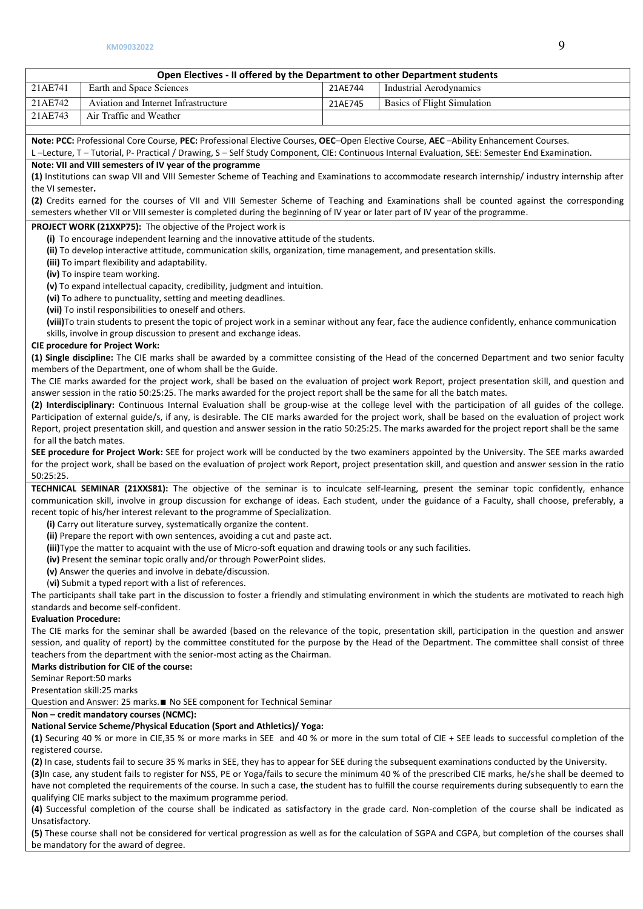## **Open Electives - II offered by the Department to other Department students**

| 21AE741 | Earth and Space Sciences             | 21AE744 | Industrial Aerodynamics            |
|---------|--------------------------------------|---------|------------------------------------|
| 21AE742 | Aviation and Internet Infrastructure | 21AE745 | <b>Basics of Flight Simulation</b> |
| 21AE743 | Air Traffic and Weather              |         |                                    |
|         |                                      |         |                                    |

**Note: PCC:** Professional Core Course, **PEC:** Professional Elective Courses, **OEC**–Open Elective Course, **AEC** –Ability Enhancement Courses.

L –Lecture, T – Tutorial, P- Practical / Drawing, S – Self Study Component, CIE: Continuous Internal Evaluation, SEE: Semester End Examination.

## **Note: VII and VIII semesters of IV year of the programme**

**(1)** Institutions can swap VII and VIII Semester Scheme of Teaching and Examinations to accommodate research internship/ industry internship after the VI semester**.** 

**(2)** Credits earned for the courses of VII and VIII Semester Scheme of Teaching and Examinations shall be counted against the corresponding semesters whether VII or VIII semester is completed during the beginning of IV year or later part of IV year of the programme.

#### **PROJECT WORK (21XXP75):** The objective of the Project work is

**(i)** To encourage independent learning and the innovative attitude of the students.

**(ii)** To develop interactive attitude, communication skills, organization, time management, and presentation skills.

**(iii)** To impart flexibility and adaptability.

**(iv)** To inspire team working.

**(v)** To expand intellectual capacity, credibility, judgment and intuition.

**(vi)** To adhere to punctuality, setting and meeting deadlines.

**(vii)** To instil responsibilities to oneself and others.

**(viii)**To train students to present the topic of project work in a seminar without any fear, face the audience confidently, enhance communication skills, involve in group discussion to present and exchange ideas.

## **CIE procedure for Project Work:**

**(1) Single discipline:** The CIE marks shall be awarded by a committee consisting of the Head of the concerned Department and two senior faculty members of the Department, one of whom shall be the Guide.

The CIE marks awarded for the project work, shall be based on the evaluation of project work Report, project presentation skill, and question and answer session in the ratio 50:25:25. The marks awarded for the project report shall be the same for all the batch mates.

**(2) Interdisciplinary:** Continuous Internal Evaluation shall be group-wise at the college level with the participation of all guides of the college. Participation of external guide/s, if any, is desirable. The CIE marks awarded for the project work, shall be based on the evaluation of project work Report, project presentation skill, and question and answer session in the ratio 50:25:25. The marks awarded for the project report shall be the same for all the batch mates.

**SEE procedure for Project Work:** SEE for project work will be conducted by the two examiners appointed by the University. The SEE marks awarded for the project work, shall be based on the evaluation of project work Report, project presentation skill, and question and answer session in the ratio 50:25:25.

**TECHNICAL SEMINAR (21XXS81):** The objective of the seminar is to inculcate self-learning, present the seminar topic confidently, enhance communication skill, involve in group discussion for exchange of ideas. Each student, under the guidance of a Faculty, shall choose, preferably, a recent topic of his/her interest relevant to the programme of Specialization.

**(i)** Carry out literature survey, systematically organize the content.

**(ii)** Prepare the report with own sentences, avoiding a cut and paste act.

**(iii)**Type the matter to acquaint with the use of Micro-soft equation and drawing tools or any such facilities.

**(iv)** Present the seminar topic orally and/or through PowerPoint slides.

**(v)** Answer the queries and involve in debate/discussion.

(**vi)** Submit a typed report with a list of references.

The participants shall take part in the discussion to foster a friendly and stimulating environment in which the students are motivated to reach high standards and become self-confident.

## **Evaluation Procedure:**

The CIE marks for the seminar shall be awarded (based on the relevance of the topic, presentation skill, participation in the question and answer session, and quality of report) by the committee constituted for the purpose by the Head of the Department. The committee shall consist of three teachers from the department with the senior-most acting as the Chairman.

**Marks distribution for CIE of the course:** 

Seminar Report:50 marks

Presentation skill:25 marks

Question and Answer: 25 marks.■ No SEE component for Technical Seminar

## **Non – credit mandatory courses (NCMC):**

## **National Service Scheme/Physical Education (Sport and Athletics)/ Yoga:**

**(1)** Securing 40 % or more in CIE,35 % or more marks in SEE and 40 % or more in the sum total of CIE + SEE leads to successful completion of the registered course.

**(2)** In case, students fail to secure 35 % marks in SEE, they has to appear for SEE during the subsequent examinations conducted by the University.

**(3)**In case, any student fails to register for NSS, PE or Yoga/fails to secure the minimum 40 % of the prescribed CIE marks, he/she shall be deemed to have not completed the requirements of the course. In such a case, the student has to fulfill the course requirements during subsequently to earn the qualifying CIE marks subject to the maximum programme period.

**(4)** Successful completion of the course shall be indicated as satisfactory in the grade card. Non-completion of the course shall be indicated as Unsatisfactory.

**(5)** These course shall not be considered for vertical progression as well as for the calculation of SGPA and CGPA, but completion of the courses shall be mandatory for the award of degree.